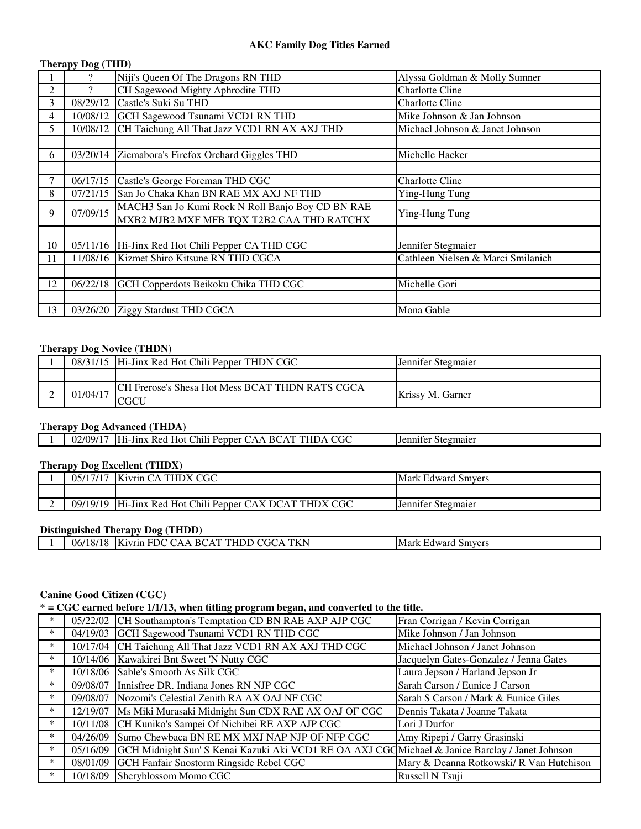#### **AKC Family Dog Titles Earned**

### **Therapy Dog (THD)**

|    | 9        | Niji's Queen Of The Dragons RN THD                | Alyssa Goldman & Molly Sumner      |
|----|----------|---------------------------------------------------|------------------------------------|
| 2  |          | CH Sagewood Mighty Aphrodite THD                  | <b>Charlotte Cline</b>             |
| 3  | 08/29/12 | Castle's Suki Su THD                              | <b>Charlotte Cline</b>             |
| 4  | 10/08/12 | GCH Sagewood Tsunami VCD1 RN THD                  | Mike Johnson & Jan Johnson         |
| 5. | 10/08/12 | CH Taichung All That Jazz VCD1 RN AX AXJ THD      | Michael Johnson & Janet Johnson    |
|    |          |                                                   |                                    |
| 6  | 03/20/14 | Ziemabora's Firefox Orchard Giggles THD           | Michelle Hacker                    |
|    |          |                                                   |                                    |
|    | 06/17/15 | Castle's George Foreman THD CGC                   | <b>Charlotte Cline</b>             |
| 8  | 07/21/15 | San Jo Chaka Khan BN RAE MX AXJ NF THD            | Ying-Hung Tung                     |
| 9  | 07/09/15 | MACH3 San Jo Kumi Rock N Roll Banjo Boy CD BN RAE | Ying-Hung Tung                     |
|    |          | MXB2 MJB2 MXF MFB TQX T2B2 CAA THD RATCHX         |                                    |
|    |          |                                                   |                                    |
| 10 |          | 05/11/16 Hi-Jinx Red Hot Chili Pepper CA THD CGC  | Jennifer Stegmaier                 |
| 11 |          | 11/08/16 Kizmet Shiro Kitsune RN THD CGCA         | Cathleen Nielsen & Marci Smilanich |
|    |          |                                                   |                                    |
| 12 | 06/22/18 | GCH Copperdots Beikoku Chika THD CGC              | Michelle Gori                      |
|    |          |                                                   |                                    |
| 13 |          | 03/26/20 Ziggy Stardust THD CGCA                  | Mona Gable                         |

#### **Therapy Dog Novice (THDN)**

|          | 08/31/15   Hi-Jinx Red Hot Chili Pepper THDN CGC       | Jennifer Stegmaier |
|----------|--------------------------------------------------------|--------------------|
|          |                                                        |                    |
| 01/04/17 | <b>CH Frerose's Shesa Hot Mess BCAT THDN RATS CGCA</b> | Krissy M. Garner   |

#### **Therapy Dog Advanced (THDA)**

| 02/09<br>$\mathbf{v}$ | nn n<br>$\mathrm{Chil}$<br>`HDA<br>-RC<br>. Pepper (<br>. Red<br>$\mathbf{A}$<br>Hi-.<br>. Hot<br>AA A<br>J1NX<br>UU. | Stegmater<br>1.Jennifer |
|-----------------------|-----------------------------------------------------------------------------------------------------------------------|-------------------------|
|                       |                                                                                                                       |                         |

#### **Therapy Dog Excellent (THDX)**

| 05/17/17 | <b>Kivrin CA THDX CGC</b>                      | <b>Mark Edward Smvers</b> |
|----------|------------------------------------------------|---------------------------|
|          |                                                |                           |
| 09/19/19 | Hi-Jinx Red Hot Chili Pepper CAX DCAT THDX CGC | Jennifer Stegmaier        |

### **Distinguished Therapy Dog (THDD)**

|  | 06/18/18<br>. | <b>TIZN</b><br>FDC.<br>$\sim$<br>AT THDD<br>-BC<br>ЧK.<br>$\mathbf{A} \mathbf{A}$ .<br>uvrin<br>٠TU<br>N. | Mark Edward<br>Smyers |
|--|---------------|-----------------------------------------------------------------------------------------------------------|-----------------------|
|--|---------------|-----------------------------------------------------------------------------------------------------------|-----------------------|

### **Canine Good Citizen (CGC)**

**\* = CGC earned before 1/1/13, when titling program began, and converted to the title.**

| $\ast$ | 05/22/02 | CH Southampton's Temptation CD BN RAE AXP AJP CGC                                                | Fran Corrigan / Kevin Corrigan           |
|--------|----------|--------------------------------------------------------------------------------------------------|------------------------------------------|
| $\ast$ |          | 04/19/03 GCH Sagewood Tsunami VCD1 RN THD CGC                                                    | Mike Johnson / Jan Johnson               |
| $\ast$ |          | 10/17/04 CH Taichung All That Jazz VCD1 RN AX AXJ THD CGC                                        | Michael Johnson / Janet Johnson          |
| $\ast$ | 10/14/06 | Kawakirei Bnt Sweet 'N Nutty CGC                                                                 | Jacquelyn Gates-Gonzalez / Jenna Gates   |
| *      |          | 10/18/06 Sable's Smooth As Silk CGC                                                              | Laura Jepson / Harland Jepson Jr         |
| $\ast$ |          | 09/08/07 Innisfree DR. Indiana Jones RN NJP CGC                                                  | Sarah Carson / Eunice J Carson           |
| $\ast$ |          | 09/08/07 Nozomi's Celestial Zenith RA AX OAJ NF CGC                                              | Sarah S Carson / Mark & Eunice Giles     |
| $\ast$ | 12/19/07 | Ms Miki Murasaki Midnight Sun CDX RAE AX OAJ OF CGC                                              | Dennis Takata / Joanne Takata            |
| $\ast$ |          | 10/11/08 CH Kuniko's Sampei Of Nichibei RE AXP AJP CGC                                           | Lori J Durfor                            |
| $\ast$ | 04/26/09 | Sumo Chewbaca BN RE MX MXJ NAP NJP OF NFP CGC                                                    | Amy Ripepi / Garry Grasinski             |
| *      | 05/16/09 | GCH Midnight Sun' S Kenai Kazuki Aki VCD1 RE OA AXJ CGQ Michael & Janice Barclay / Janet Johnson |                                          |
| $\ast$ | 08/01/09 | GCH Fanfair Snostorm Ringside Rebel CGC                                                          | Mary & Deanna Rotkowski/ R Van Hutchison |
| $\ast$ |          | 10/18/09 Sheryblossom Momo CGC                                                                   | Russell N Tsuji                          |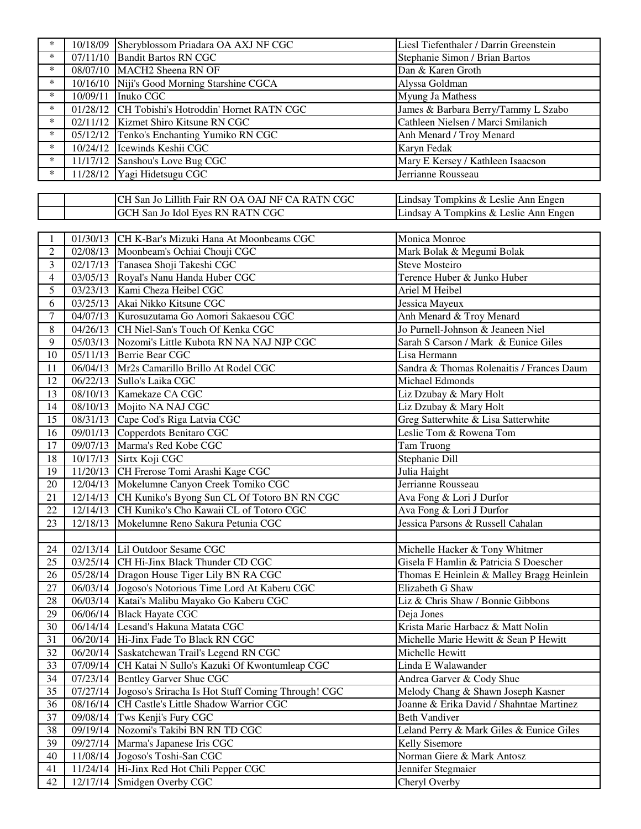| $\ast$          |          | 10/18/09 Sheryblossom Priadara OA AXJ NF CGC                                          | Liesl Tiefenthaler / Darrin Greenstein                                  |
|-----------------|----------|---------------------------------------------------------------------------------------|-------------------------------------------------------------------------|
| $\ast$          |          | 07/11/10 Bandit Bartos RN CGC                                                         | Stephanie Simon / Brian Bartos                                          |
| $\ast$          |          | 08/07/10 MACH2 Sheena RN OF                                                           | Dan & Karen Groth                                                       |
| $\ast$          |          | 10/16/10 Niji's Good Morning Starshine CGCA                                           | Alyssa Goldman                                                          |
| $\ast$          |          | 10/09/11 Inuko CGC                                                                    | Myung Ja Mathess                                                        |
| $\ast$          |          | 01/28/12 CH Tobishi's Hotroddin' Hornet RATN CGC                                      | James & Barbara Berry/Tammy L Szabo                                     |
| $\ast$          |          | 02/11/12 Kizmet Shiro Kitsune RN CGC                                                  | Cathleen Nielsen / Marci Smilanich                                      |
| $\ast$          |          | 05/12/12 Tenko's Enchanting Yumiko RN CGC                                             | Anh Menard / Troy Menard                                                |
| $\ast$          |          | 10/24/12 Icewinds Keshii CGC                                                          | Karyn Fedak                                                             |
| $\ast$          |          | 11/17/12 Sanshou's Love Bug CGC                                                       | Mary E Kersey / Kathleen Isaacson                                       |
| $\ast$          |          | 11/28/12 Yagi Hidetsugu CGC                                                           | Jerrianne Rousseau                                                      |
|                 |          |                                                                                       |                                                                         |
|                 |          | CH San Jo Lillith Fair RN OA OAJ NF CA RATN CGC                                       | Lindsay Tompkins & Leslie Ann Engen                                     |
|                 |          | GCH San Jo Idol Eyes RN RATN CGC                                                      | Lindsay A Tompkins & Leslie Ann Engen                                   |
|                 |          |                                                                                       |                                                                         |
| 1               |          | 01/30/13 CH K-Bar's Mizuki Hana At Moonbeams CGC                                      | Monica Monroe                                                           |
| $\overline{2}$  |          | 02/08/13 Moonbeam's Ochiai Chouji CGC                                                 | Mark Bolak & Megumi Bolak                                               |
| 3               |          | 02/17/13 Tanasea Shoji Takeshi CGC                                                    | Steve Mosteiro                                                          |
| $\overline{4}$  |          | 03/05/13 Royal's Nanu Handa Huber CGC                                                 | Terence Huber & Junko Huber                                             |
|                 |          |                                                                                       |                                                                         |
| 5               |          | 03/23/13 Kami Cheza Heibel CGC                                                        | Ariel M Heibel                                                          |
| 6               |          | 03/25/13 Akai Nikko Kitsune CGC                                                       | Jessica Mayeux                                                          |
| $\tau$          |          | 04/07/13 Kurosuzutama Go Aomori Sakaesou CGC                                          | Anh Menard & Troy Menard                                                |
| 8               |          | 04/26/13 CH Niel-San's Touch Of Kenka CGC                                             | Jo Purnell-Johnson & Jeaneen Niel                                       |
| 9               |          | 05/03/13 Nozomi's Little Kubota RN NA NAJ NJP CGC                                     | Sarah S Carson / Mark & Eunice Giles                                    |
| 10              |          | 05/11/13 Berrie Bear CGC                                                              | Lisa Hermann                                                            |
| 11              |          | 06/04/13 Mr2s Camarillo Brillo At Rodel CGC                                           | Sandra & Thomas Rolenaitis / Frances Daum                               |
| 12              |          | 06/22/13 Sullo's Laika CGC                                                            | Michael Edmonds                                                         |
| 13              |          | 08/10/13 Kamekaze CA CGC                                                              | Liz Dzubay & Mary Holt                                                  |
| 14              |          | 08/10/13 Mojito NA NAJ CGC                                                            | Liz Dzubay & Mary Holt                                                  |
|                 |          |                                                                                       |                                                                         |
| 15              |          | 08/31/13 Cape Cod's Riga Latvia CGC                                                   | Greg Satterwhite & Lisa Satterwhite                                     |
| 16              |          | 09/01/13 Copperdots Benitaro CGC                                                      | Leslie Tom & Rowena Tom                                                 |
| 17              |          | 09/07/13 Marma's Red Kobe CGC                                                         | Tam Truong                                                              |
| 18              |          | 10/17/13 Sirtx Koji CGC                                                               | Stephanie Dill                                                          |
| 19              |          | 11/20/13 CH Frerose Tomi Arashi Kage CGC                                              | Julia Haight                                                            |
| 20              |          | 12/04/13 Mokelumne Canyon Creek Tomiko CGC                                            | Jerrianne Rousseau                                                      |
| 21              |          | 12/14/13 CH Kuniko's Byong Sun CL Of Totoro BN RN CGC                                 | Ava Fong & Lori J Durfor                                                |
| $\overline{22}$ |          |                                                                                       | Ava Fong & Lori J Durfor                                                |
| 23              | 12/18/13 | 12/14/13 CH Kuniko's Cho Kawaii CL of Totoro CGC<br>Mokelumne Reno Sakura Petunia CGC | Jessica Parsons & Russell Cahalan                                       |
|                 |          |                                                                                       |                                                                         |
| 24              |          | 02/13/14 Lil Outdoor Sesame CGC                                                       |                                                                         |
| 25              |          | 03/25/14 CH Hi-Jinx Black Thunder CD CGC                                              | Michelle Hacker & Tony Whitmer<br>Gisela F Hamlin & Patricia S Doescher |
| 26              |          |                                                                                       |                                                                         |
| 27              |          | 05/28/14 Dragon House Tiger Lily BN RA CGC                                            | Thomas E Heinlein & Malley Bragg Heinlein<br>Elizabeth G Shaw           |
|                 |          | 06/03/14 Jogoso's Notorious Time Lord At Kaberu CGC                                   |                                                                         |
| 28              |          | 06/03/14 Katai's Malibu Mayako Go Kaberu CGC                                          | Liz & Chris Shaw / Bonnie Gibbons                                       |
| 29              |          | 06/06/14 Black Hayate CGC                                                             | Deja Jones                                                              |
| 30              |          | 06/14/14 Lesand's Hakuna Matata CGC                                                   | Krista Marie Harbacz & Matt Nolin                                       |
| 31              |          | 06/20/14 Hi-Jinx Fade To Black RN CGC                                                 | Michelle Marie Hewitt & Sean P Hewitt                                   |
| 32              |          | 06/20/14 Saskatchewan Trail's Legend RN CGC                                           | Michelle Hewitt                                                         |
| 33              |          | 07/09/14 CH Katai N Sullo's Kazuki Of Kwontumleap CGC                                 | Linda E Walawander                                                      |
| 34              |          | 07/23/14 Bentley Garver Shue CGC                                                      | Andrea Garver & Cody Shue                                               |
| 35              |          | 07/27/14 Jogoso's Sriracha Is Hot Stuff Coming Through! CGC                           | Melody Chang & Shawn Joseph Kasner                                      |
| 36              |          | 08/16/14 CH Castle's Little Shadow Warrior CGC                                        | Joanne & Erika David / Shahntae Martinez                                |
| 37              |          | 09/08/14 Tws Kenji's Fury CGC                                                         | <b>Beth Vandiver</b>                                                    |
| 38              |          | 09/19/14 Nozomi's Takibi BN RN TD CGC                                                 | Leland Perry & Mark Giles & Eunice Giles                                |
| 39              |          | 09/27/14 Marma's Japanese Iris CGC                                                    | Kelly Sisemore                                                          |
| 40              |          | 11/08/14 Jogoso's Toshi-San CGC                                                       | Norman Giere & Mark Antosz                                              |
| 41<br>42        |          | 11/24/14 Hi-Jinx Red Hot Chili Pepper CGC<br>12/17/14 Smidgen Overby CGC              | Jennifer Stegmaier<br>Cheryl Overby                                     |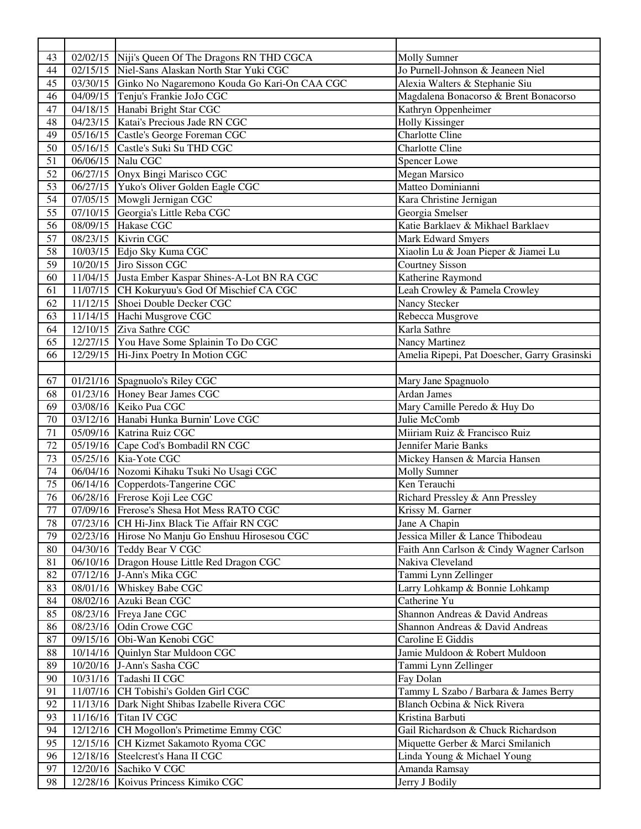| 43       |                      | 02/02/15 Niji's Queen Of The Dragons RN THD CGCA      | <b>Molly Sumner</b>                          |
|----------|----------------------|-------------------------------------------------------|----------------------------------------------|
| 44       |                      | 02/15/15 Niel-Sans Alaskan North Star Yuki CGC        | Jo Purnell-Johnson & Jeaneen Niel            |
| 45       |                      | 03/30/15 Ginko No Nagaremono Kouda Go Kari-On CAA CGC | Alexia Walters & Stephanie Siu               |
| 46       |                      | 04/09/15 Tenju's Frankie JoJo CGC                     | Magdalena Bonacorso & Brent Bonacorso        |
| 47       |                      | 04/18/15 Hanabi Bright Star CGC                       | Kathryn Oppenheimer                          |
| 48       |                      | 04/23/15 Katai's Precious Jade RN CGC                 | <b>Holly Kissinger</b>                       |
| 49       | 05/16/15             | Castle's George Foreman CGC                           | <b>Charlotte Cline</b>                       |
| 50       |                      | 05/16/15 Castle's Suki Su THD CGC                     | <b>Charlotte Cline</b>                       |
| 51       |                      | 06/06/15 Nalu CGC                                     | Spencer Lowe                                 |
| 52       |                      | 06/27/15 Onyx Bingi Marisco CGC                       | <b>Megan Marsico</b>                         |
| 53       |                      | 06/27/15 Yuko's Oliver Golden Eagle CGC               | Matteo Dominianni                            |
| 54       |                      | 07/05/15 Mowgli Jernigan CGC                          | Kara Christine Jernigan                      |
| 55       |                      | 07/10/15 Georgia's Little Reba CGC                    | Georgia Smelser                              |
| 56       |                      | 08/09/15 Hakase CGC                                   | Katie Barklaev & Mikhael Barklaev            |
| 57       |                      | 08/23/15 Kivrin CGC                                   | <b>Mark Edward Smyers</b>                    |
| 58       |                      | 10/03/15 Edjo Sky Kuma CGC                            | Xiaolin Lu & Joan Pieper & Jiamei Lu         |
| 59       |                      | 10/20/15 Jiro Sisson CGC                              | <b>Courtney Sisson</b>                       |
| 60       |                      | 11/04/15 Justa Ember Kaspar Shines-A-Lot BN RA CGC    | Katherine Raymond                            |
| 61       |                      | 11/07/15 CH Kokuryuu's God Of Mischief CA CGC         | Leah Crowley & Pamela Crowley                |
| 62       |                      | 11/12/15 Shoei Double Decker CGC                      | Nancy Stecker                                |
| 63       |                      | 11/14/15 Hachi Musgrove CGC                           | Rebecca Musgrove                             |
| 64       |                      | 12/10/15 Ziva Sathre CGC                              | Karla Sathre                                 |
| 65       |                      | 12/27/15 You Have Some Splainin To Do CGC             | Nancy Martinez                               |
| 66       |                      | 12/29/15 Hi-Jinx Poetry In Motion CGC                 | Amelia Ripepi, Pat Doescher, Garry Grasinski |
|          |                      |                                                       |                                              |
| 67       |                      | $\overline{01/21}/16$ Spagnuolo's Riley CGC           | Mary Jane Spagnuolo                          |
| 68       |                      | 01/23/16 Honey Bear James CGC                         | Ardan James                                  |
| 69       |                      | 03/08/16 Keiko Pua CGC                                | Mary Camille Peredo & Huy Do                 |
| 70       |                      | 03/12/16 Hanabi Hunka Burnin' Love CGC                | Julie McComb                                 |
| 71       |                      | 05/09/16 Katrina Ruiz CGC                             | Miiriam Ruiz & Francisco Ruiz                |
| $72\,$   |                      | 05/19/16 Cape Cod's Bombadil RN CGC                   | Jennifer Marie Banks                         |
| 73       |                      | 05/25/16 Kia-Yote CGC                                 | Mickey Hansen & Marcia Hansen                |
| 74       |                      | 06/04/16 Nozomi Kihaku Tsuki No Usagi CGC             | <b>Molly Sumner</b>                          |
| 75       |                      | 06/14/16 Copperdots-Tangerine CGC                     | Ken Terauchi                                 |
| 76       |                      | 06/28/16 Frerose Koji Lee CGC                         | Richard Pressley & Ann Pressley              |
| 77       |                      | 07/09/16 Frerose's Shesa Hot Mess RATO CGC            | Krissy M. Garner                             |
| 78       |                      | 07/23/16 CH Hi-Jinx Black Tie Affair RN CGC           | Jane A Chapin                                |
| 79       |                      | 02/23/16 Hirose No Manju Go Enshuu Hirosesou CGC      | Jessica Miller & Lance Thibodeau             |
| 80       |                      | 04/30/16 Teddy Bear V CGC                             | Faith Ann Carlson & Cindy Wagner Carlson     |
| 81       |                      | 06/10/16 Dragon House Little Red Dragon CGC           | Nakiva Cleveland                             |
| 82       |                      |                                                       |                                              |
| 83       |                      |                                                       |                                              |
|          |                      | 07/12/16 J-Ann's Mika CGC                             | Tammi Lynn Zellinger                         |
|          |                      | 08/01/16 Whiskey Babe CGC                             | Larry Lohkamp & Bonnie Lohkamp               |
| 84       |                      | 08/02/16 Azuki Bean CGC                               | Catherine Yu                                 |
| 85       |                      | 08/23/16 Freya Jane CGC                               | Shannon Andreas & David Andreas              |
| 86       |                      | 08/23/16 Odin Crowe CGC                               | Shannon Andreas & David Andreas              |
| 87       |                      | 09/15/16 Obi-Wan Kenobi CGC                           | Caroline E Giddis                            |
| 88       |                      | 10/14/16 Quinlyn Star Muldoon CGC                     | Jamie Muldoon & Robert Muldoon               |
| 89       |                      | 10/20/16 J-Ann's Sasha CGC                            | Tammi Lynn Zellinger                         |
| 90       |                      | 10/31/16 Tadashi II CGC                               | Fay Dolan                                    |
| 91       |                      | 11/07/16 CH Tobishi's Golden Girl CGC                 | Tammy L Szabo / Barbara & James Berry        |
| 92       |                      | 11/13/16 Dark Night Shibas Izabelle Rivera CGC        | Blanch Ocbina & Nick Rivera                  |
| 93       |                      | 11/16/16 Titan IV CGC                                 | Kristina Barbuti                             |
| 94       |                      | 12/12/16 CH Mogollon's Primetime Emmy CGC             | Gail Richardson & Chuck Richardson           |
| 95       | 12/15/16             | CH Kizmet Sakamoto Ryoma CGC                          | Miquette Gerber & Marci Smilanich            |
| 96       | 12/18/16             | Steelcrest's Hana II CGC                              | Linda Young & Michael Young                  |
| 97<br>98 | 12/20/16<br>12/28/16 | Sachiko V CGC<br>Koivus Princess Kimiko CGC           | Amanda Ramsay<br>Jerry J Bodily              |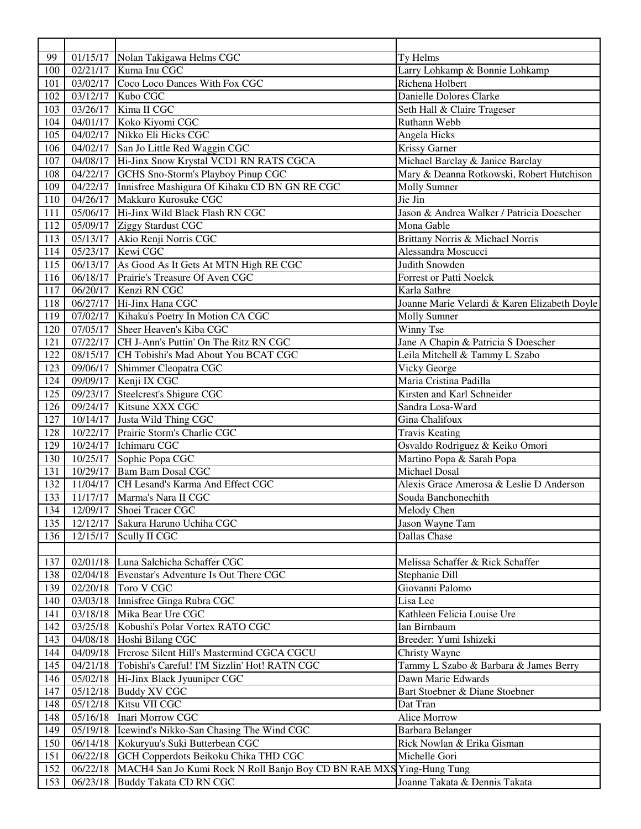| 99  |          | 01/15/17 Nolan Takigawa Helms CGC                                    | Ty Helms                                     |
|-----|----------|----------------------------------------------------------------------|----------------------------------------------|
| 100 | 02/21/17 | Kuma Inu CGC                                                         | Larry Lohkamp & Bonnie Lohkamp               |
| 101 |          | 03/02/17 Coco Loco Dances With Fox CGC                               | Richena Holbert                              |
| 102 |          | 03/12/17 Kubo CGC                                                    | Danielle Dolores Clarke                      |
| 103 |          | 03/26/17 Kima II CGC                                                 | Seth Hall & Claire Trageser                  |
| 104 |          | 04/01/17 Koko Kiyomi CGC                                             | Ruthann Webb                                 |
| 105 |          | 04/02/17 Nikko Eli Hicks CGC                                         | Angela Hicks                                 |
| 106 |          | 04/02/17 San Jo Little Red Waggin CGC                                | <b>Krissy Garner</b>                         |
| 107 |          | 04/08/17 Hi-Jinx Snow Krystal VCD1 RN RATS CGCA                      | Michael Barclay & Janice Barclay             |
| 108 |          | 04/22/17 GCHS Sno-Storm's Playboy Pinup CGC                          | Mary & Deanna Rotkowski, Robert Hutchison    |
| 109 |          | 04/22/17 Innisfree Mashigura Of Kihaku CD BN GN RE CGC               | <b>Molly Sumner</b>                          |
| 110 |          | 04/26/17 Makkuro Kurosuke CGC                                        | Jie Jin                                      |
| 111 |          | 05/06/17 Hi-Jinx Wild Black Flash RN CGC                             | Jason & Andrea Walker / Patricia Doescher    |
| 112 |          | 05/09/17 Ziggy Stardust CGC                                          | Mona Gable                                   |
| 113 |          | 05/13/17 Akio Renji Norris CGC                                       | Brittany Norris & Michael Norris             |
| 114 |          | 05/23/17 Kewi CGC                                                    | Alessandra Moscucci                          |
| 115 |          | 06/13/17 As Good As It Gets At MTN High RE CGC                       | Judith Snowden                               |
|     |          |                                                                      | <b>Forrest or Patti Noelck</b>               |
| 116 |          | 06/18/17 Prairie's Treasure Of Aven CGC<br>06/20/17 Kenzi RN CGC     |                                              |
| 117 |          |                                                                      | Karla Sathre                                 |
| 118 |          | 06/27/17 Hi-Jinx Hana CGC                                            | Joanne Marie Velardi & Karen Elizabeth Doyle |
| 119 |          | 07/02/17   Kihaku's Poetry In Motion CA CGC                          | <b>Molly Sumner</b>                          |
| 120 |          | 07/05/17 Sheer Heaven's Kiba CGC                                     | Winny Tse                                    |
| 121 |          | 07/22/17 CH J-Ann's Puttin' On The Ritz RN CGC                       | Jane A Chapin & Patricia S Doescher          |
| 122 |          | 08/15/17 CH Tobishi's Mad About You BCAT CGC                         | Leila Mitchell & Tammy L Szabo               |
| 123 |          | 09/06/17 Shimmer Cleopatra CGC                                       | Vicky George                                 |
| 124 |          | 09/09/17 Kenji IX CGC                                                | Maria Cristina Padilla                       |
| 125 |          | 09/23/17 Steelcrest's Shigure CGC                                    | Kirsten and Karl Schneider                   |
| 126 |          | 09/24/17 Kitsune XXX CGC                                             | Sandra Losa-Ward                             |
| 127 |          | 10/14/17 Justa Wild Thing CGC                                        | Gina Chalifoux                               |
| 128 |          | 10/22/17 Prairie Storm's Charlie CGC                                 | <b>Travis Keating</b>                        |
| 129 | 10/24/17 | Ichimaru CGC                                                         | Osvaldo Rodriguez & Keiko Omori              |
| 130 | 10/25/17 | Sophie Popa CGC                                                      | Martino Popa & Sarah Popa                    |
| 131 | 10/29/17 | <b>Bam Bam Dosal CGC</b>                                             | Michael Dosal                                |
| 132 |          | 11/04/17 CH Lesand's Karma And Effect CGC                            | Alexis Grace Amerosa & Leslie D Anderson     |
| 133 |          | 11/17/17 Marma's Nara II CGC                                         | Souda Banchonechith                          |
|     |          | 134 12/09/17 Shoei Tracer CGC                                        | Melody Chen                                  |
| 135 | 12/12/17 | Sakura Haruno Uchiha CGC                                             | Jason Wayne Tam                              |
| 136 | 12/15/17 | Scully II CGC                                                        | Dallas Chase                                 |
|     |          |                                                                      |                                              |
| 137 |          | 02/01/18 Luna Salchicha Schaffer CGC                                 | Melissa Schaffer & Rick Schaffer             |
| 138 |          | 02/04/18 Evenstar's Adventure Is Out There CGC                       | Stephanie Dill                               |
| 139 |          | 02/20/18 Toro V CGC                                                  | Giovanni Palomo                              |
| 140 |          | 03/03/18 Innisfree Ginga Rubra CGC                                   | Lisa Lee                                     |
|     |          | 03/18/18 Mika Bear Ure CGC                                           | Kathleen Felicia Louise Ure                  |
| 141 |          |                                                                      |                                              |
| 142 |          | 03/25/18 Kobushi's Polar Vortex RATO CGC                             | Ian Birnbaum                                 |
| 143 |          | 04/08/18 Hoshi Bilang CGC                                            | Breeder: Yumi Ishizeki                       |
| 144 | 04/09/18 | Frerose Silent Hill's Mastermind CGCA CGCU                           | Christy Wayne                                |
| 145 | 04/21/18 | Tobishi's Careful! I'M Sizzlin' Hot! RATN CGC                        | Tammy L Szabo & Barbara & James Berry        |
| 146 | 05/02/18 | Hi-Jinx Black Jyuuniper CGC                                          | Dawn Marie Edwards                           |
| 147 | 05/12/18 | <b>Buddy XV CGC</b>                                                  | Bart Stoebner & Diane Stoebner               |
| 148 | 05/12/18 | Kitsu VII CGC                                                        | Dat Tran                                     |
| 148 | 05/16/18 | Inari Morrow CGC                                                     | <b>Alice Morrow</b>                          |
| 149 | 05/19/18 | Icewind's Nikko-San Chasing The Wind CGC                             | Barbara Belanger                             |
| 150 | 06/14/18 | Kokuryuu's Suki Butterbean CGC                                       | Rick Nowlan & Erika Gisman                   |
| 151 | 06/22/18 | GCH Copperdots Beikoku Chika THD CGC                                 | Michelle Gori                                |
| 152 | 06/22/18 | MACH4 San Jo Kumi Rock N Roll Banjo Boy CD BN RAE MXS Ying-Hung Tung |                                              |
| 153 | 06/23/18 | <b>Buddy Takata CD RN CGC</b>                                        | Joanne Takata & Dennis Takata                |
|     |          |                                                                      |                                              |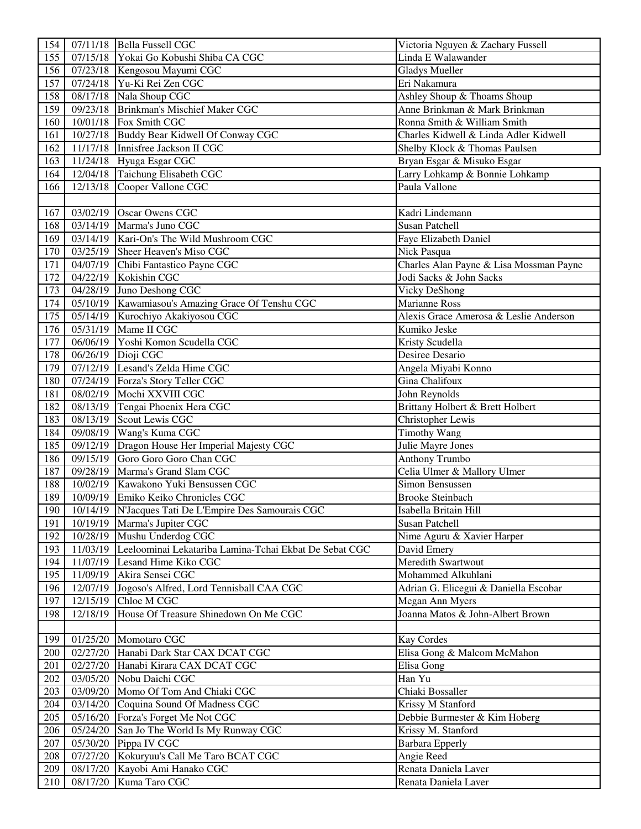| 154 |          | 07/11/18 Bella Fussell CGC                                      | Victoria Nguyen & Zachary Fussell       |
|-----|----------|-----------------------------------------------------------------|-----------------------------------------|
| 155 |          | 07/15/18 Yokai Go Kobushi Shiba CA CGC                          | Linda E Walawander                      |
| 156 |          | 07/23/18 Kengosou Mayumi CGC                                    | <b>Gladys Mueller</b>                   |
| 157 |          | 07/24/18 Yu-Ki Rei Zen CGC                                      | Eri Nakamura                            |
| 158 |          | 08/17/18 Nala Shoup CGC                                         | Ashley Shoup & Thoams Shoup             |
| 159 | 09/23/18 | Brinkman's Mischief Maker CGC                                   | Anne Brinkman & Mark Brinkman           |
| 160 |          | 10/01/18 Fox Smith CGC                                          | Ronna Smith & William Smith             |
| 161 |          | 10/27/18 Buddy Bear Kidwell Of Conway CGC                       | Charles Kidwell & Linda Adler Kidwell   |
| 162 |          | 11/17/18 Innisfree Jackson II CGC                               | Shelby Klock & Thomas Paulsen           |
| 163 |          | 11/24/18 Hyuga Esgar CGC                                        | Bryan Esgar & Misuko Esgar              |
| 164 |          | 12/04/18 Taichung Elisabeth CGC                                 | Larry Lohkamp & Bonnie Lohkamp          |
| 166 |          | 12/13/18 Cooper Vallone CGC                                     | Paula Vallone                           |
|     |          |                                                                 |                                         |
| 167 |          | 03/02/19 Oscar Owens CGC                                        | Kadri Lindemann                         |
| 168 |          | 03/14/19 Marma's Juno CGC                                       | Susan Patchell                          |
| 169 |          | 03/14/19 Kari-On's The Wild Mushroom CGC                        | Faye Elizabeth Daniel                   |
| 170 |          | 03/25/19 Sheer Heaven's Miso CGC                                | Nick Pasqua                             |
| 171 |          | 04/07/19 Chibi Fantastico Payne CGC                             | Charles Alan Payne & Lisa Mossman Payne |
| 172 |          | 04/22/19 Kokishin CGC                                           | Jodi Sacks & John Sacks                 |
| 173 |          | 04/28/19 Juno Deshong CGC                                       | Vicky DeShong                           |
| 174 |          | 05/10/19 Kawamiasou's Amazing Grace Of Tenshu CGC               | <b>Marianne Ross</b>                    |
| 175 |          | 05/14/19 Kurochiyo Akakiyosou CGC                               | Alexis Grace Amerosa & Leslie Anderson  |
| 176 |          | 05/31/19 Mame II CGC                                            | Kumiko Jeske                            |
| 177 |          | 06/06/19 Yoshi Komon Scudella CGC                               | Kristy Scudella                         |
| 178 |          | 06/26/19 Dioji CGC                                              | Desiree Desario                         |
| 179 |          | 07/12/19 Lesand's Zelda Hime CGC                                | Angela Miyabi Konno                     |
| 180 |          | 07/24/19 Forza's Story Teller CGC                               | Gina Chalifoux                          |
| 181 |          | 08/02/19 Mochi XXVIII CGC                                       | John Reynolds                           |
| 182 |          | 08/13/19 Tengai Phoenix Hera CGC                                | Brittany Holbert & Brett Holbert        |
| 183 |          | 08/13/19 Scout Lewis CGC                                        | Christopher Lewis                       |
| 184 |          | 09/08/19 Wang's Kuma CGC                                        | <b>Timothy Wang</b>                     |
| 185 |          | 09/12/19 Dragon House Her Imperial Majesty CGC                  | <b>Julie Mayre Jones</b>                |
| 186 |          | 09/15/19 Goro Goro Goro Chan CGC                                | Anthony Trumbo                          |
| 187 |          | 09/28/19 Marma's Grand Slam CGC                                 | Celia Ulmer & Mallory Ulmer             |
| 188 |          | 10/02/19 Kawakono Yuki Bensussen CGC                            | Simon Bensussen                         |
| 189 |          | 10/09/19 Emiko Keiko Chronicles CGC                             | <b>Brooke Steinbach</b>                 |
| 190 |          | 10/14/19 N'Jacques Tati De L'Empire Des Samourais CGC           | Isabella Britain Hill                   |
| 191 |          | 10/19/19 Marma's Jupiter CGC                                    | <b>Susan Patchell</b>                   |
| 192 |          | 10/28/19 Mushu Underdog CGC                                     | Nime Aguru & Xavier Harper              |
| 193 |          | 11/03/19 Leeloominai Lekatariba Lamina-Tchai Ekbat De Sebat CGC | David Emery                             |
| 194 |          | 11/07/19 Lesand Hime Kiko CGC                                   | <b>Meredith Swartwout</b>               |
| 195 |          | 11/09/19 Akira Sensei CGC                                       | Mohammed Alkuhlani                      |
| 196 |          | 12/07/19 Jogoso's Alfred, Lord Tennisball CAA CGC               | Adrian G. Elicegui & Daniella Escobar   |
| 197 |          | 12/15/19 Chloe M CGC                                            | Megan Ann Myers                         |
| 198 | 12/18/19 | House Of Treasure Shinedown On Me CGC                           | Joanna Matos & John-Albert Brown        |
|     |          |                                                                 |                                         |
| 199 |          | 01/25/20 Momotaro CGC                                           | <b>Kay Cordes</b>                       |
| 200 |          | 02/27/20 Hanabi Dark Star CAX DCAT CGC                          | Elisa Gong & Malcom McMahon             |
| 201 |          | 02/27/20 Hanabi Kirara CAX DCAT CGC                             | Elisa Gong                              |
| 202 |          | 03/05/20 Nobu Daichi CGC                                        | Han Yu                                  |
| 203 | 03/09/20 | Momo Of Tom And Chiaki CGC                                      | Chiaki Bossaller                        |
| 204 | 03/14/20 | Coquina Sound Of Madness CGC                                    | Krissy M Stanford                       |
| 205 | 05/16/20 | Forza's Forget Me Not CGC                                       | Debbie Burmester & Kim Hoberg           |
| 206 | 05/24/20 | San Jo The World Is My Runway CGC                               | Krissy M. Stanford                      |
| 207 | 05/30/20 | Pippa IV CGC                                                    | <b>Barbara Epperly</b>                  |
| 208 | 07/27/20 | Kokuryuu's Call Me Taro BCAT CGC                                | Angie Reed                              |
| 209 | 08/17/20 | Kayobi Ami Hanako CGC                                           | Renata Daniela Laver                    |
| 210 | 08/17/20 | Kuma Taro CGC                                                   | Renata Daniela Laver                    |
|     |          |                                                                 |                                         |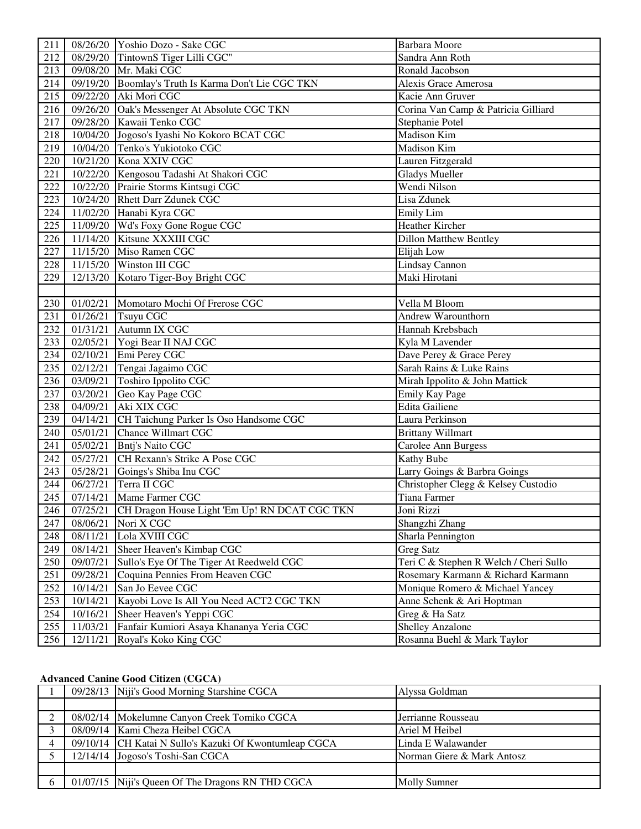| 211              |          | 08/26/20 Yoshio Dozo - Sake CGC                     | <b>Barbara</b> Moore                   |
|------------------|----------|-----------------------------------------------------|----------------------------------------|
| 212              |          | 08/29/20 TintownS Tiger Lilli CGC"                  | Sandra Ann Roth                        |
| 213              |          | 09/08/20 Mr. Maki CGC                               | Ronald Jacobson                        |
| 214              |          | 09/19/20 Boomlay's Truth Is Karma Don't Lie CGC TKN | <b>Alexis Grace Amerosa</b>            |
| $21\overline{5}$ | 09/22/20 | Aki Mori CGC                                        | Kacie Ann Gruver                       |
| 216              |          | 09/26/20 Oak's Messenger At Absolute CGC TKN        | Corina Van Camp & Patricia Gilliard    |
| 217              |          | 09/28/20 Kawaii Tenko CGC                           | Stephanie Potel                        |
| 218              |          | 10/04/20 Jogoso's Iyashi No Kokoro BCAT CGC         | Madison Kim                            |
| 219              |          | 10/04/20 Tenko's Yukiotoko CGC                      | Madison Kim                            |
| 220              |          | 10/21/20 Kona XXIV CGC                              | Lauren Fitzgerald                      |
| 221              |          | 10/22/20 Kengosou Tadashi At Shakori CGC            | <b>Gladys Mueller</b>                  |
| 222              |          | 10/22/20 Prairie Storms Kintsugi CGC                | Wendi Nilson                           |
| 223              |          | 10/24/20 Rhett Darr Zdunek CGC                      | Lisa Zdunek                            |
| 224              |          | 11/02/20 Hanabi Kyra CGC                            | Emily Lim                              |
| 225              |          | 11/09/20 Wd's Foxy Gone Rogue CGC                   | Heather Kircher                        |
| 226              |          | 11/14/20 Kitsune XXXIII CGC                         | <b>Dillon Matthew Bentley</b>          |
| 227              |          | 11/15/20 Miso Ramen CGC                             | Elijah Low                             |
| 228              | 11/15/20 | Winston III CGC                                     | Lindsay Cannon                         |
| 229              | 12/13/20 | Kotaro Tiger-Boy Bright CGC                         | Maki Hirotani                          |
|                  |          |                                                     |                                        |
| 230              |          | 01/02/21 Momotaro Mochi Of Frerose CGC              | Vella M Bloom                          |
| 231              | 01/26/21 | Tsuyu CGC                                           | Andrew Warounthorn                     |
| 232              |          | 01/31/21 Autumn IX CGC                              | Hannah Krebsbach                       |
| 233              |          | 02/05/21 Yogi Bear II NAJ CGC                       | Kyla M Lavender                        |
| 234              |          | 02/10/21 Emi Perey CGC                              | Dave Perey & Grace Perey               |
| 235              |          | 02/12/21 Tengai Jagaimo CGC                         | Sarah Rains & Luke Rains               |
| 236              |          | 03/09/21 Toshiro Ippolito CGC                       | Mirah Ippolito & John Mattick          |
| 237              | 03/20/21 | Geo Kay Page CGC                                    | Emily Kay Page                         |
| 238              |          | 04/09/21 Aki XIX CGC                                | <b>Edita Gailiene</b>                  |
| 239              | 04/14/21 | CH Taichung Parker Is Oso Handsome CGC              | Laura Perkinson                        |
| 240              |          | 05/01/21 Chance Willmart CGC                        | <b>Brittany Willmart</b>               |
| 241              | 05/02/21 | <b>Bntj's Naito CGC</b>                             | Carolee Ann Burgess                    |
| 242              | 05/27/21 | CH Rexann's Strike A Pose CGC                       | <b>Kathy Bube</b>                      |
| 243              | 05/28/21 | Goings's Shiba Inu CGC                              | Larry Goings & Barbra Goings           |
| 244              | 06/27/21 | Terra II CGC                                        | Christopher Clegg & Kelsey Custodio    |
| 245              |          | 07/14/21 Mame Farmer CGC                            | Tiana Farmer                           |
| 246              | 07/25/21 | CH Dragon House Light 'Em Up! RN DCAT CGC TKN       | Joni Rizzi                             |
| 247              | 08/06/21 | Nori X CGC                                          | Shangzhi Zhang                         |
| 248              | 08/11/21 | Lola XVIII CGC                                      | Sharla Pennington                      |
| 249              | 08/14/21 | Sheer Heaven's Kimbap CGC                           | <b>Greg Satz</b>                       |
| 250              | 09/07/21 | Sullo's Eye Of The Tiger At Reedweld CGC            | Teri C & Stephen R Welch / Cheri Sullo |
| 251              | 09/28/21 | Coquina Pennies From Heaven CGC                     | Rosemary Karmann & Richard Karmann     |
| 252              | 10/14/21 | San Jo Eevee CGC                                    | Monique Romero & Michael Yancey        |
| 253              | 10/14/21 | Kayobi Love Is All You Need ACT2 CGC TKN            | Anne Schenk & Ari Hoptman              |
| 254              | 10/16/21 | Sheer Heaven's Yeppi CGC                            | Greg & Ha Satz                         |
| 255              | 11/03/21 | Fanfair Kumiori Asaya Khananya Yeria CGC            | <b>Shelley Anzalone</b>                |
| 256              | 12/11/21 | Royal's Koko King CGC                               | Rosanna Buehl & Mark Taylor            |

### **Advanced Canine Good Citizen (CGCA)**

|                | 09/28/13 Niji's Good Morning Starshine CGCA            | Alyssa Goldman             |
|----------------|--------------------------------------------------------|----------------------------|
|                |                                                        |                            |
| 2              | 08/02/14 Mokelumne Canyon Creek Tomiko CGCA            | Jerrianne Rousseau         |
| 3              | 08/09/14   Kami Cheza Heibel CGCA                      | Ariel M Heibel             |
| $\overline{4}$ | 09/10/14 CH Katai N Sullo's Kazuki Of Kwontumleap CGCA | Linda E Walawander         |
|                | 12/14/14 Jogoso's Toshi-San CGCA                       | Norman Giere & Mark Antosz |
|                |                                                        |                            |
| 6              | 01/07/15 Niji's Queen Of The Dragons RN THD CGCA       | <b>Molly Sumner</b>        |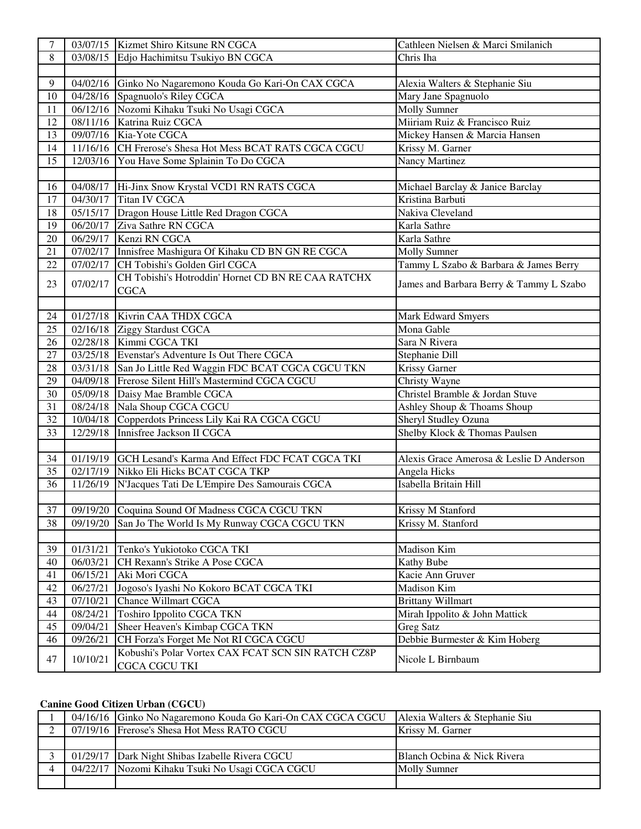| $\tau$          |          | 03/07/15 Kizmet Shiro Kitsune RN CGCA                    | Cathleen Nielsen & Marci Smilanich       |
|-----------------|----------|----------------------------------------------------------|------------------------------------------|
| 8               |          | 03/08/15 Edjo Hachimitsu Tsukiyo BN CGCA                 | Chris Iha                                |
|                 |          |                                                          |                                          |
| 9               |          | 04/02/16 Ginko No Nagaremono Kouda Go Kari-On CAX CGCA   | Alexia Walters & Stephanie Siu           |
| 10              |          | 04/28/16 Spagnuolo's Riley CGCA                          | Mary Jane Spagnuolo                      |
| 11              |          | 06/12/16 Nozomi Kihaku Tsuki No Usagi CGCA               | <b>Molly Sumner</b>                      |
| $\overline{12}$ |          | 08/11/16 Katrina Ruiz CGCA                               | Miiriam Ruiz & Francisco Ruiz            |
| 13              |          | 09/07/16 Kia-Yote CGCA                                   | Mickey Hansen & Marcia Hansen            |
| 14              |          | 11/16/16 CH Frerose's Shesa Hot Mess BCAT RATS CGCA CGCU | Krissy M. Garner                         |
| 15              |          | 12/03/16 You Have Some Splainin To Do CGCA               | Nancy Martinez                           |
|                 |          |                                                          |                                          |
| 16              |          | 04/08/17 Hi-Jinx Snow Krystal VCD1 RN RATS CGCA          | Michael Barclay & Janice Barclay         |
| 17              |          | 04/30/17 Titan IV CGCA                                   | Kristina Barbuti                         |
| 18              |          | 05/15/17 Dragon House Little Red Dragon CGCA             | Nakiva Cleveland                         |
| 19              |          | 06/20/17 Ziva Sathre RN CGCA                             | Karla Sathre                             |
| 20              |          | 06/29/17 Kenzi RN CGCA                                   | Karla Sathre                             |
| 21              |          | 07/02/17 Innisfree Mashigura Of Kihaku CD BN GN RE CGCA  | <b>Molly Sumner</b>                      |
| 22              | 07/02/17 | CH Tobishi's Golden Girl CGCA                            | Tammy L Szabo & Barbara & James Berry    |
| 23              | 07/02/17 | CH Tobishi's Hotroddin' Hornet CD BN RE CAA RATCHX       |                                          |
|                 |          | <b>CGCA</b>                                              | James and Barbara Berry & Tammy L Szabo  |
|                 |          |                                                          |                                          |
| 24              |          | 01/27/18 Kivrin CAA THDX CGCA                            | Mark Edward Smyers                       |
| 25              |          | 02/16/18 Ziggy Stardust CGCA                             | Mona Gable                               |
| 26              |          | 02/28/18 Kimmi CGCA TKI                                  | Sara N Rivera                            |
| 27              |          | 03/25/18 Evenstar's Adventure Is Out There CGCA          | Stephanie Dill                           |
| 28              |          | 03/31/18 San Jo Little Red Waggin FDC BCAT CGCA CGCU TKN | Krissy Garner                            |
| 29              |          | 04/09/18 Frerose Silent Hill's Mastermind CGCA CGCU      | Christy Wayne                            |
| 30              |          | 05/09/18 Daisy Mae Bramble CGCA                          | Christel Bramble & Jordan Stuve          |
| 31              |          | 08/24/18 Nala Shoup CGCA CGCU                            | Ashley Shoup & Thoams Shoup              |
| 32              |          | 10/04/18 Copperdots Princess Lily Kai RA CGCA CGCU       | <b>Sheryl Studley Ozuna</b>              |
| 33              |          | 12/29/18 Innisfree Jackson II CGCA                       | Shelby Klock & Thomas Paulsen            |
|                 |          |                                                          |                                          |
| 34              |          | 01/19/19 GCH Lesand's Karma And Effect FDC FCAT CGCA TKI | Alexis Grace Amerosa & Leslie D Anderson |
| 35              |          | 02/17/19 Nikko Eli Hicks BCAT CGCA TKP                   | Angela Hicks                             |
| 36              | 11/26/19 | N'Jacques Tati De L'Empire Des Samourais CGCA            | Isabella Britain Hill                    |
|                 |          |                                                          |                                          |
| 37              |          | 09/19/20 Coquina Sound Of Madness CGCA CGCU TKN          | Krissy M Stanford                        |
| 38              | 09/19/20 | San Jo The World Is My Runway CGCA CGCU TKN              | Krissy M. Stanford                       |
|                 |          |                                                          |                                          |
| 39              | 01/31/21 | Tenko's Yukiotoko CGCA TKI                               | <b>Madison Kim</b>                       |
| 40              | 06/03/21 | CH Rexann's Strike A Pose CGCA                           | Kathy Bube                               |
| 41              | 06/15/21 | Aki Mori CGCA                                            | Kacie Ann Gruver                         |
| 42              | 06/27/21 | Jogoso's Iyashi No Kokoro BCAT CGCA TKI                  | Madison Kim                              |
| 43              | 07/10/21 | <b>Chance Willmart CGCA</b>                              | <b>Brittany Willmart</b>                 |
| 44              | 08/24/21 | <b>Toshiro Ippolito CGCA TKN</b>                         | Mirah Ippolito & John Mattick            |
| 45              | 09/04/21 | Sheer Heaven's Kimbap CGCA TKN                           | <b>Greg Satz</b>                         |
| 46              | 09/26/21 | CH Forza's Forget Me Not RI CGCA CGCU                    | Debbie Burmester & Kim Hoberg            |
|                 |          | Kobushi's Polar Vortex CAX FCAT SCN SIN RATCH CZ8P       |                                          |
| 47              | 10/10/21 | <b>CGCA CGCU TKI</b>                                     | Nicole L Birnbaum                        |

# **Canine Good Citizen Urban (CGCU)**

|  | 04/16/16   Ginko No Nagaremono Kouda Go Kari-On CAX CGCA CGCU   Alexia Walters & Stephanie Siu |                             |
|--|------------------------------------------------------------------------------------------------|-----------------------------|
|  | 07/19/16 Frerose's Shesa Hot Mess RATO CGCU                                                    | Krissy M. Garner            |
|  |                                                                                                |                             |
|  | 01/29/17 Dark Night Shibas Izabelle Rivera CGCU                                                | Blanch Ocbina & Nick Rivera |
|  | 04/22/17 Nozomi Kihaku Tsuki No Usagi CGCA CGCU                                                | <b>Molly Sumner</b>         |
|  |                                                                                                |                             |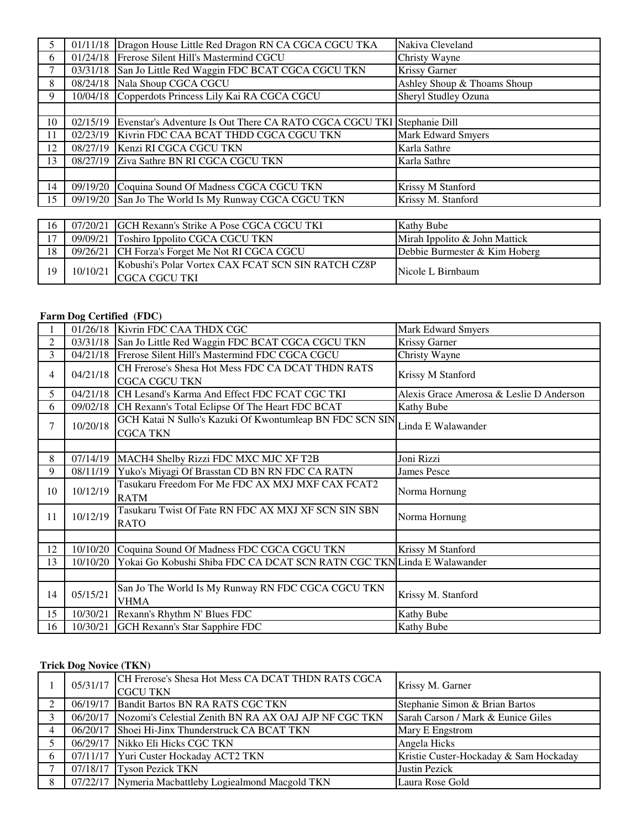|        | 01/11/18 | Dragon House Little Red Dragon RN CA CGCA CGCU TKA                     | Nakiva Cleveland            |
|--------|----------|------------------------------------------------------------------------|-----------------------------|
| 6      | 01/24/18 | Frerose Silent Hill's Mastermind CGCU                                  | Christy Wayne               |
|        | 03/31/18 | San Jo Little Red Waggin FDC BCAT CGCA CGCU TKN                        | Krissy Garner               |
| 8      | 08/24/18 | Nala Shoup CGCA CGCU                                                   | Ashley Shoup & Thoams Shoup |
| 9      |          | 10/04/18 Copperdots Princess Lily Kai RA CGCA CGCU                     | Sheryl Studley Ozuna        |
|        |          |                                                                        |                             |
| 10     | 02/15/19 | Evenstar's Adventure Is Out There CA RATO CGCA CGCU TKI Stephanie Dill |                             |
| 11     | 02/23/19 | Kivrin FDC CAA BCAT THDD CGCA CGCU TKN                                 | <b>Mark Edward Smyers</b>   |
| 12     |          | 08/27/19 Kenzi RI CGCA CGCU TKN                                        | Karla Sathre                |
| 13     |          | 08/27/19 Ziva Sathre BN RI CGCA CGCU TKN                               | Karla Sathre                |
|        |          |                                                                        |                             |
| 14     | 09/19/20 | Coquina Sound Of Madness CGCA CGCU TKN                                 | Krissy M Stanford           |
| 15     |          | 09/19/20 San Jo The World Is My Runway CGCA CGCU TKN                   | Krissy M. Stanford          |
|        |          |                                                                        |                             |
| $16-1$ |          | 07/20/21 GCH Rexann's Strike A Pose CGCA CGCU TKI                      | Kathy Bube                  |

| 16 |          | 07/20/21 GCH Rexann's Strike A Pose CGCA CGCU TKI                    | <b>Kathy Bube</b>             |
|----|----------|----------------------------------------------------------------------|-------------------------------|
| 17 |          | 09/09/21 Toshiro Ippolito CGCA CGCU TKN                              | Mirah Ippolito & John Mattick |
| 18 |          | 09/26/21 CH Forza's Forget Me Not RI CGCA CGCU                       | Debbie Burmester & Kim Hoberg |
| 19 | 10/10/21 | Kobushi's Polar Vortex CAX FCAT SCN SIN RATCH CZ8P<br>ICGCA CGCU TKI | Nicole L Birnbaum             |

### **Farm Dog Certified (FDC)**

|                | 01/26/18 | Kivrin FDC CAA THDX CGC                                                     | Mark Edward Smyers                       |
|----------------|----------|-----------------------------------------------------------------------------|------------------------------------------|
| 2              | 03/31/18 | San Jo Little Red Waggin FDC BCAT CGCA CGCU TKN                             | Krissy Garner                            |
| 3              | 04/21/18 | Frerose Silent Hill's Mastermind FDC CGCA CGCU                              | Christy Wayne                            |
| $\overline{4}$ | 04/21/18 | CH Frerose's Shesa Hot Mess FDC CA DCAT THDN RATS<br><b>CGCA CGCU TKN</b>   | Krissy M Stanford                        |
| 5              | 04/21/18 | CH Lesand's Karma And Effect FDC FCAT CGC TKI                               | Alexis Grace Amerosa & Leslie D Anderson |
| 6              | 09/02/18 | CH Rexann's Total Eclipse Of The Heart FDC BCAT                             | Kathy Bube                               |
| 7              | 10/20/18 | GCH Katai N Sullo's Kazuki Of Kwontumleap BN FDC SCN SIN<br><b>CGCA TKN</b> | Linda E Walawander                       |
|                |          |                                                                             |                                          |
| 8              | 07/14/19 | MACH4 Shelby Rizzi FDC MXC MJC XF T2B                                       | Joni Rizzi                               |
| 9              | 08/11/19 | Yuko's Miyagi Of Brasstan CD BN RN FDC CA RATN                              | James Pesce                              |
| 10             | 10/12/19 | Tasukaru Freedom For Me FDC AX MXJ MXF CAX FCAT2<br><b>RATM</b>             | Norma Hornung                            |
| 11             | 10/12/19 | Tasukaru Twist Of Fate RN FDC AX MXJ XF SCN SIN SBN<br>RATO                 | Norma Hornung                            |
|                |          |                                                                             |                                          |
| 12             | 10/10/20 | Coquina Sound Of Madness FDC CGCA CGCU TKN                                  | Krissy M Stanford                        |
| 13             | 10/10/20 | Yokai Go Kobushi Shiba FDC CA DCAT SCN RATN CGC TKN Linda E Walawander      |                                          |
|                |          |                                                                             |                                          |
| 14             | 05/15/21 | San Jo The World Is My Runway RN FDC CGCA CGCU TKN<br><b>VHMA</b>           | Krissy M. Stanford                       |
| 15             | 10/30/21 | Rexann's Rhythm N' Blues FDC                                                | Kathy Bube                               |
| 16             | 10/30/21 | <b>GCH Rexann's Star Sapphire FDC</b>                                       | Kathy Bube                               |

# **Trick Dog Novice (TKN)**

|   | 05/31/17 | CH Frerose's Shesa Hot Mess CA DCAT THDN RATS CGCA<br><b>CGCU TKN</b> | Krissy M. Garner                       |
|---|----------|-----------------------------------------------------------------------|----------------------------------------|
| 2 |          | 06/19/17 Bandit Bartos BN RA RATS CGC TKN                             | Stephanie Simon & Brian Bartos         |
|   |          | 06/20/17 Nozomi's Celestial Zenith BN RA AX OAJ AJP NF CGC TKN        | Sarah Carson / Mark & Eunice Giles     |
| 4 |          | 06/20/17 Shoei Hi-Jinx Thunderstruck CA BCAT TKN                      | Mary E Engstrom                        |
|   |          | 06/29/17 Nikko Eli Hicks CGC TKN                                      | Angela Hicks                           |
| 6 |          | 07/11/17 Yuri Custer Hockaday ACT2 TKN                                | Kristie Custer-Hockaday & Sam Hockaday |
| 7 |          | 07/18/17 Tyson Pezick TKN                                             | <b>Justin Pezick</b>                   |
| 8 |          | 07/22/17 Nymeria Macbattleby Logiealmond Macgold TKN                  | Laura Rose Gold                        |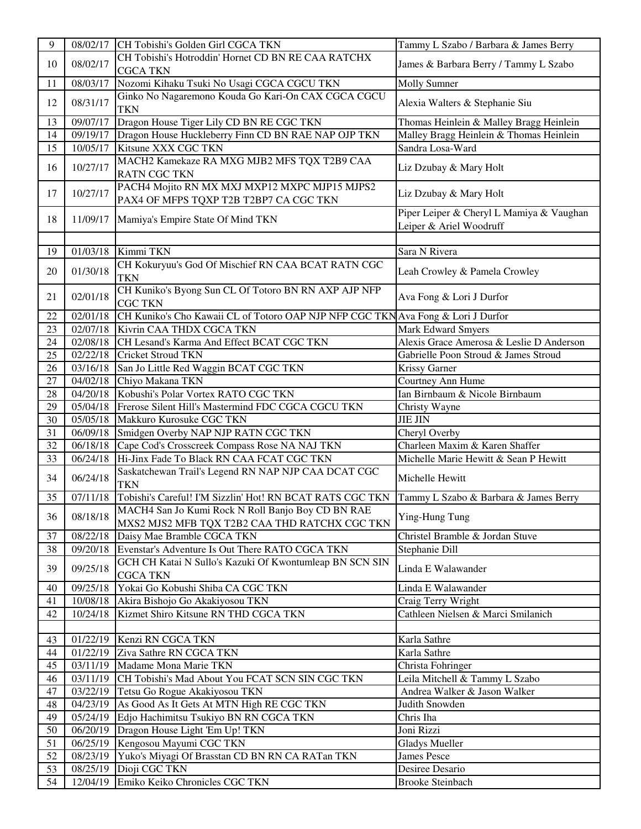| 9  | 08/02/17              | CH Tobishi's Golden Girl CGCA TKN                                                                  | Tammy L Szabo / Barbara & James Berry    |
|----|-----------------------|----------------------------------------------------------------------------------------------------|------------------------------------------|
|    |                       | CH Tobishi's Hotroddin' Hornet CD BN RE CAA RATCHX                                                 |                                          |
| 10 | 08/02/17              | <b>CGCA TKN</b>                                                                                    | James & Barbara Berry / Tammy L Szabo    |
| 11 | 08/03/17              | Nozomi Kihaku Tsuki No Usagi CGCA CGCU TKN                                                         | <b>Molly Sumner</b>                      |
|    |                       | Ginko No Nagaremono Kouda Go Kari-On CAX CGCA CGCU                                                 |                                          |
| 12 | 08/31/17              | <b>TKN</b>                                                                                         | Alexia Walters & Stephanie Siu           |
| 13 | 09/07/17              | Dragon House Tiger Lily CD BN RE CGC TKN                                                           | Thomas Heinlein & Malley Bragg Heinlein  |
| 14 | 09/19/17              | Dragon House Huckleberry Finn CD BN RAE NAP OJP TKN                                                | Malley Bragg Heinlein & Thomas Heinlein  |
| 15 | 10/05/17              | Kitsune XXX CGC TKN                                                                                | Sandra Losa-Ward                         |
|    |                       | MACH2 Kamekaze RA MXG MJB2 MFS TQX T2B9 CAA                                                        |                                          |
| 16 | 10/27/17              | <b>RATN CGC TKN</b>                                                                                | Liz Dzubay & Mary Holt                   |
| 17 | 10/27/17              | PACH4 Mojito RN MX MXJ MXP12 MXPC MJP15 MJPS2<br>PAX4 OF MFPS TQXP T2B T2BP7 CA CGC TKN            | Liz Dzubay & Mary Holt                   |
|    |                       |                                                                                                    | Piper Leiper & Cheryl L Mamiya & Vaughan |
| 18 | 11/09/17              | Mamiya's Empire State Of Mind TKN                                                                  | Leiper & Ariel Woodruff                  |
|    |                       |                                                                                                    |                                          |
| 19 | 01/03/18              | Kimmi TKN                                                                                          | Sara N Rivera                            |
| 20 | 01/30/18              | CH Kokuryuu's God Of Mischief RN CAA BCAT RATN CGC<br><b>TKN</b>                                   | Leah Crowley & Pamela Crowley            |
| 21 | 02/01/18              | CH Kuniko's Byong Sun CL Of Totoro BN RN AXP AJP NFP<br><b>CGC TKN</b>                             | Ava Fong & Lori J Durfor                 |
| 22 |                       | 02/01/18 CH Kuniko's Cho Kawaii CL of Totoro OAP NJP NFP CGC TKN Ava Fong & Lori J Durfor          |                                          |
| 23 |                       | 02/07/18 Kivrin CAA THDX CGCA TKN                                                                  | <b>Mark Edward Smyers</b>                |
| 24 |                       | 02/08/18 CH Lesand's Karma And Effect BCAT CGC TKN                                                 | Alexis Grace Amerosa & Leslie D Anderson |
| 25 |                       | 02/22/18 Cricket Stroud TKN                                                                        | Gabrielle Poon Stroud & James Stroud     |
| 26 | 03/16/18              | San Jo Little Red Waggin BCAT CGC TKN                                                              | <b>Krissy Garner</b>                     |
| 27 |                       | 04/02/18 Chiyo Makana TKN                                                                          | Courtney Ann Hume                        |
| 28 |                       | 04/20/18 Kobushi's Polar Vortex RATO CGC TKN                                                       | Ian Birnbaum & Nicole Birnbaum           |
| 29 |                       | 05/04/18 Frerose Silent Hill's Mastermind FDC CGCA CGCU TKN                                        | Christy Wayne                            |
| 30 |                       | 05/05/18 Makkuro Kurosuke CGC TKN                                                                  | <b>JIE JIN</b>                           |
| 31 |                       | 06/09/18 Smidgen Overby NAP NJP RATN CGC TKN                                                       | Cheryl Overby                            |
| 32 |                       | 06/18/18 Cape Cod's Crosscreek Compass Rose NA NAJ TKN                                             | Charleen Maxim & Karen Shaffer           |
| 33 | 06/24/18              | Hi-Jinx Fade To Black RN CAA FCAT CGC TKN                                                          | Michelle Marie Hewitt & Sean P Hewitt    |
| 34 | 06/24/18              | Saskatchewan Trail's Legend RN NAP NJP CAA DCAT CGC<br>TKN                                         | Michelle Hewitt                          |
| 35 | 07/11/18              | Tobishi's Careful! I'M Sizzlin' Hot! RN BCAT RATS CGC TKN                                          | Tammy L Szabo & Barbara & James Berry    |
| 36 | 08/18/18              | MACH4 San Jo Kumi Rock N Roll Banjo Boy CD BN RAE<br>MXS2 MJS2 MFB TQX T2B2 CAA THD RATCHX CGC TKN | Ying-Hung Tung                           |
| 37 | $\overline{08}/22/18$ | Daisy Mae Bramble CGCA TKN                                                                         | Christel Bramble & Jordan Stuve          |
| 38 | 09/20/18              | Evenstar's Adventure Is Out There RATO CGCA TKN                                                    | Stephanie Dill                           |
| 39 | 09/25/18              | GCH CH Katai N Sullo's Kazuki Of Kwontumleap BN SCN SIN<br><b>CGCA TKN</b>                         | Linda E Walawander                       |
| 40 | 09/25/18              | Yokai Go Kobushi Shiba CA CGC TKN                                                                  | Linda E Walawander                       |
| 41 | 10/08/18              | Akira Bishojo Go Akakiyosou TKN                                                                    | Craig Terry Wright                       |
| 42 | 10/24/18              | Kizmet Shiro Kitsune RN THD CGCA TKN                                                               | Cathleen Nielsen & Marci Smilanich       |
|    |                       |                                                                                                    |                                          |
| 43 |                       | 01/22/19   Kenzi RN CGCA TKN                                                                       | Karla Sathre                             |
| 44 |                       | 01/22/19 Ziva Sathre RN CGCA TKN                                                                   | Karla Sathre                             |
| 45 |                       | 03/11/19 Madame Mona Marie TKN                                                                     | Christa Fohringer                        |
| 46 |                       | 03/11/19 CH Tobishi's Mad About You FCAT SCN SIN CGC TKN                                           | Leila Mitchell & Tammy L Szabo           |
| 47 |                       | 03/22/19 Tetsu Go Rogue Akakiyosou TKN                                                             | Andrea Walker & Jason Walker             |
| 48 |                       | 04/23/19 As Good As It Gets At MTN High RE CGC TKN                                                 | Judith Snowden                           |
| 49 |                       | 05/24/19 Edjo Hachimitsu Tsukiyo BN RN CGCA TKN                                                    | Chris Iha                                |
| 50 |                       | 06/20/19 Dragon House Light 'Em Up! TKN                                                            | Joni Rizzi                               |
| 51 |                       | 06/25/19 Kengosou Mayumi CGC TKN                                                                   | <b>Gladys Mueller</b>                    |
| 52 |                       | 08/23/19 Yuko's Miyagi Of Brasstan CD BN RN CA RATan TKN                                           | <b>James Pesce</b>                       |
| 53 |                       | 08/25/19 Dioji CGC TKN                                                                             | Desiree Desario                          |
| 54 |                       | 12/04/19 Emiko Keiko Chronicles CGC TKN                                                            | <b>Brooke Steinbach</b>                  |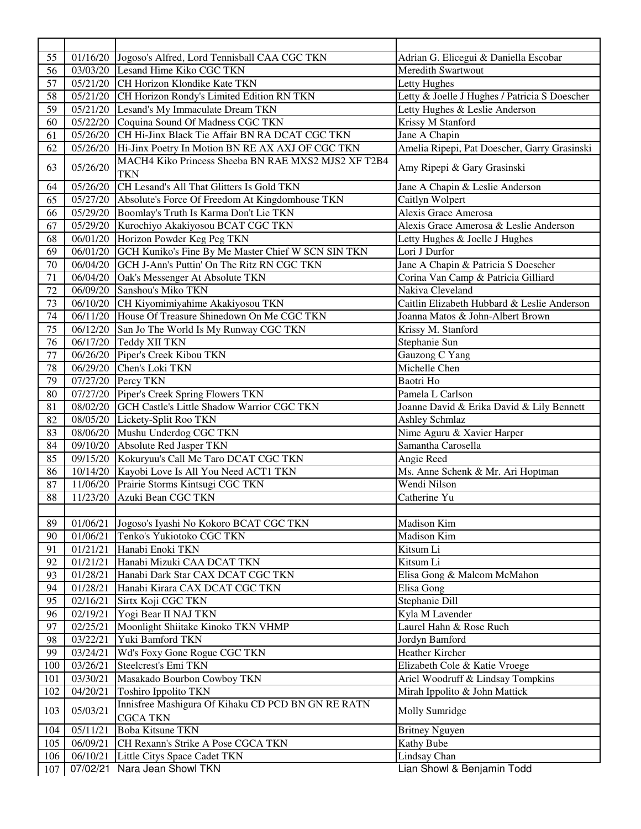| 55  |          | 01/16/20 Jogoso's Alfred, Lord Tennisball CAA CGC TKN                 | Adrian G. Elicegui & Daniella Escobar         |
|-----|----------|-----------------------------------------------------------------------|-----------------------------------------------|
| 56  |          | 03/03/20 Lesand Hime Kiko CGC TKN                                     | Meredith Swartwout                            |
| 57  |          | 05/21/20 CH Horizon Klondike Kate TKN                                 | Letty Hughes                                  |
| 58  |          | 05/21/20 CH Horizon Rondy's Limited Edition RN TKN                    | Letty & Joelle J Hughes / Patricia S Doescher |
| 59  |          | 05/21/20 Lesand's My Immaculate Dream TKN                             | Letty Hughes & Leslie Anderson                |
| 60  |          | 05/22/20 Coquina Sound Of Madness CGC TKN                             | Krissy M Stanford                             |
| 61  | 05/26/20 | CH Hi-Jinx Black Tie Affair BN RA DCAT CGC TKN                        | Jane A Chapin                                 |
| 62  | 05/26/20 | Hi-Jinx Poetry In Motion BN RE AX AXJ OF CGC TKN                      | Amelia Ripepi, Pat Doescher, Garry Grasinski  |
| 63  | 05/26/20 | MACH4 Kiko Princess Sheeba BN RAE MXS2 MJS2 XF T2B4<br><b>TKN</b>     | Amy Ripepi & Gary Grasinski                   |
| 64  |          | 05/26/20 CH Lesand's All That Glitters Is Gold TKN                    | Jane A Chapin & Leslie Anderson               |
| 65  |          | 05/27/20 Absolute's Force Of Freedom At Kingdomhouse TKN              | Caitlyn Wolpert                               |
| 66  |          | 05/29/20 Boomlay's Truth Is Karma Don't Lie TKN                       | Alexis Grace Amerosa                          |
| 67  |          | 05/29/20 Kurochiyo Akakiyosou BCAT CGC TKN                            | Alexis Grace Amerosa & Leslie Anderson        |
| 68  |          | 06/01/20 Horizon Powder Keg Peg TKN                                   | Letty Hughes & Joelle J Hughes                |
| 69  |          | 06/01/20 GCH Kuniko's Fine By Me Master Chief W SCN SIN TKN           | Lori J Durfor                                 |
| 70  |          | 06/04/20 GCH J-Ann's Puttin' On The Ritz RN CGC TKN                   | Jane A Chapin & Patricia S Doescher           |
| 71  | 06/04/20 | Oak's Messenger At Absolute TKN                                       | Corina Van Camp & Patricia Gilliard           |
| 72  |          | 06/09/20 Sanshou's Miko TKN                                           | Nakiva Cleveland                              |
| 73  |          | 06/10/20 CH Kiyomimiyahime Akakiyosou TKN                             | Caitlin Elizabeth Hubbard & Leslie Anderson   |
| 74  |          | 06/11/20 House Of Treasure Shinedown On Me CGC TKN                    | Joanna Matos & John-Albert Brown              |
| 75  |          | 06/12/20 San Jo The World Is My Runway CGC TKN                        | Krissy M. Stanford                            |
| 76  | 06/17/20 | <b>Teddy XII TKN</b>                                                  | Stephanie Sun                                 |
| 77  | 06/26/20 | Piper's Creek Kibou TKN                                               | Gauzong C Yang                                |
| 78  |          | 06/29/20 Chen's Loki TKN                                              | Michelle Chen                                 |
| 79  |          | 07/27/20 Percy TKN                                                    | Baotri Ho                                     |
| 80  |          | 07/27/20 Piper's Creek Spring Flowers TKN                             | Pamela L Carlson                              |
| 81  |          | 08/02/20 GCH Castle's Little Shadow Warrior CGC TKN                   | Joanne David & Erika David & Lily Bennett     |
| 82  |          | 08/05/20 Lickety-Split Roo TKN                                        | <b>Ashley Schmlaz</b>                         |
| 83  |          | 08/06/20 Mushu Underdog CGC TKN                                       | Nime Aguru & Xavier Harper                    |
| 84  | 09/10/20 | Absolute Red Jasper TKN                                               | Samantha Carosella                            |
| 85  |          | 09/15/20 Kokuryuu's Call Me Taro DCAT CGC TKN                         | Angie Reed                                    |
| 86  |          | 10/14/20 Kayobi Love Is All You Need ACT1 TKN                         | Ms. Anne Schenk & Mr. Ari Hoptman             |
| 87  |          | 11/06/20 Prairie Storms Kintsugi CGC TKN                              | Wendi Nilson                                  |
| 88  |          | 11/23/20 Azuki Bean CGC TKN                                           | Catherine Yu                                  |
|     |          |                                                                       |                                               |
| 89  |          | 01/06/21 Jogoso's Iyashi No Kokoro BCAT CGC TKN                       | Madison Kim                                   |
| 90  |          | 01/06/21 Tenko's Yukiotoko CGC TKN                                    | Madison Kim                                   |
| 91  |          | 01/21/21 Hanabi Enoki TKN                                             | Kitsum Li                                     |
| 92  | 01/21/21 | Hanabi Mizuki CAA DCAT TKN                                            | Kitsum Li                                     |
| 93  | 01/28/21 | Hanabi Dark Star CAX DCAT CGC TKN                                     | Elisa Gong & Malcom McMahon                   |
| 94  | 01/28/21 | Hanabi Kirara CAX DCAT CGC TKN                                        | Elisa Gong                                    |
| 95  | 02/16/21 | Sirtx Koji CGC TKN                                                    | Stephanie Dill                                |
| 96  |          | 02/19/21 Yogi Bear II NAJ TKN                                         | Kyla M Lavender                               |
| 97  |          | 02/25/21 Moonlight Shiitake Kinoko TKN VHMP                           | Laurel Hahn & Rose Ruch                       |
| 98  |          | 03/22/21 Yuki Bamford TKN                                             | Jordyn Bamford                                |
| 99  |          | 03/24/21   Wd's Foxy Gone Rogue CGC TKN                               | Heather Kircher                               |
| 100 | 03/26/21 | Steelcrest's Emi TKN                                                  | Elizabeth Cole & Katie Vroege                 |
| 101 | 03/30/21 | Masakado Bourbon Cowboy TKN                                           | Ariel Woodruff & Lindsay Tompkins             |
| 102 | 04/20/21 | <b>Toshiro Ippolito TKN</b>                                           | Mirah Ippolito & John Mattick                 |
| 103 | 05/03/21 | Innisfree Mashigura Of Kihaku CD PCD BN GN RE RATN<br><b>CGCA TKN</b> | Molly Sumridge                                |
| 104 | 05/11/21 | <b>Boba Kitsune TKN</b>                                               | <b>Britney Nguyen</b>                         |
| 105 | 06/09/21 | CH Rexann's Strike A Pose CGCA TKN                                    | <b>Kathy Bube</b>                             |
| 106 | 06/10/21 | Little Citys Space Cadet TKN                                          | <b>Lindsay Chan</b>                           |
| 107 | 07/02/21 | Nara Jean Showl TKN                                                   | Lian Showl & Benjamin Todd                    |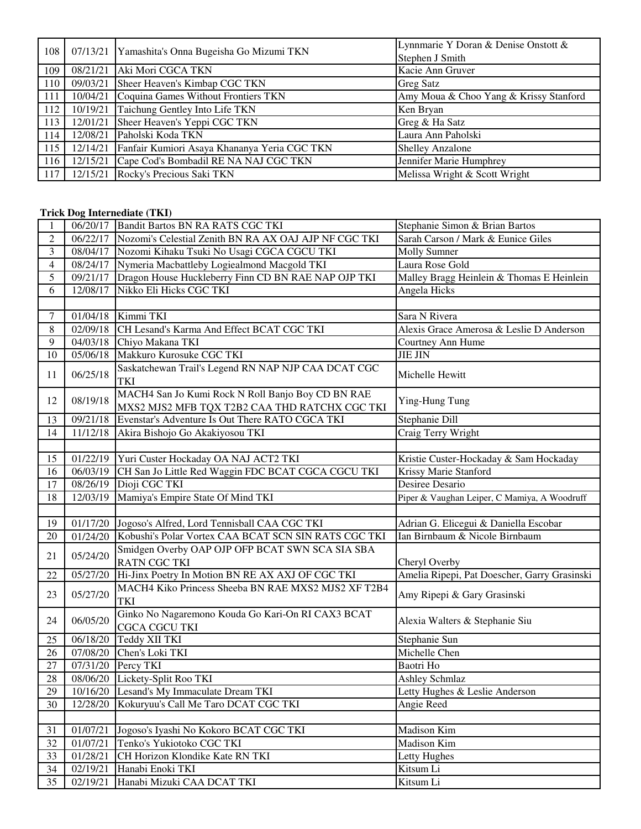| 108 |          | 07/13/21 Yamashita's Onna Bugeisha Go Mizumi TKN | Lynnmarie Y Doran & Denise Onstott &<br>Stephen J Smith |
|-----|----------|--------------------------------------------------|---------------------------------------------------------|
| 109 |          | 08/21/21 Aki Mori CGCA TKN                       | Kacie Ann Gruver                                        |
| 110 |          | 09/03/21 Sheer Heaven's Kimbap CGC TKN           | <b>Greg Satz</b>                                        |
| 111 | 10/04/21 | Coquina Games Without Frontiers TKN              | Amy Moua & Choo Yang & Krissy Stanford                  |
| 112 | 10/19/21 | Taichung Gentley Into Life TKN                   | Ken Bryan                                               |
| 113 | 12/01/21 | Sheer Heaven's Yeppi CGC TKN                     | Greg & Ha Satz                                          |
| 114 | 12/08/21 | Paholski Koda TKN                                | Laura Ann Paholski                                      |
| 115 | 12/14/21 | Fanfair Kumiori Asaya Khananya Yeria CGC TKN     | <b>Shelley Anzalone</b>                                 |
| 116 | 12/15/21 | Cape Cod's Bombadil RE NA NAJ CGC TKN            | Jennifer Marie Humphrey                                 |
| 117 |          | 12/15/21 Rocky's Precious Saki TKN               | Melissa Wright & Scott Wright                           |

#### **Trick Dog Internediate (TKI)**

| 1              |                    | 06/20/17 Bandit Bartos BN RA RATS CGC TKI                                                          | Stephanie Simon & Brian Bartos               |
|----------------|--------------------|----------------------------------------------------------------------------------------------------|----------------------------------------------|
| 2              | 06/22/17           | Nozomi's Celestial Zenith BN RA AX OAJ AJP NF CGC TKI                                              | Sarah Carson / Mark & Eunice Giles           |
| 3              | 08/04/17           | Nozomi Kihaku Tsuki No Usagi CGCA CGCU TKI                                                         | <b>Molly Sumner</b>                          |
| $\overline{4}$ |                    | 08/24/17 Nymeria Macbattleby Logiealmond Macgold TKI                                               | Laura Rose Gold                              |
| 5              | 09/21/17           | Dragon House Huckleberry Finn CD BN RAE NAP OJP TKI                                                | Malley Bragg Heinlein & Thomas E Heinlein    |
| 6              | 12/08/17           | Nikko Eli Hicks CGC TKI                                                                            | Angela Hicks                                 |
|                |                    |                                                                                                    |                                              |
| $\tau$         | 01/04/18           | Kimmi TKI                                                                                          | Sara N Rivera                                |
| $8\,$          |                    | 02/09/18 CH Lesand's Karma And Effect BCAT CGC TKI                                                 | Alexis Grace Amerosa & Leslie D Anderson     |
| 9              |                    | 04/03/18 Chiyo Makana TKI                                                                          | Courtney Ann Hume                            |
| 10             | 05/06/18           | Makkuro Kurosuke CGC TKI                                                                           | <b>JIE JIN</b>                               |
| 11             | 06/25/18           | Saskatchewan Trail's Legend RN NAP NJP CAA DCAT CGC<br>TKI                                         | Michelle Hewitt                              |
| 12             | 08/19/18           | MACH4 San Jo Kumi Rock N Roll Banjo Boy CD BN RAE<br>MXS2 MJS2 MFB TQX T2B2 CAA THD RATCHX CGC TKI | Ying-Hung Tung                               |
| 13             | 09/21/18           | Evenstar's Adventure Is Out There RATO CGCA TKI                                                    | Stephanie Dill                               |
| 14             | 11/12/18           | Akira Bishojo Go Akakiyosou TKI                                                                    | Craig Terry Wright                           |
|                |                    |                                                                                                    |                                              |
| 15             |                    | 01/22/19 Yuri Custer Hockaday OA NAJ ACT2 TKI                                                      | Kristie Custer-Hockaday & Sam Hockaday       |
| 16             |                    | 06/03/19 CH San Jo Little Red Waggin FDC BCAT CGCA CGCU TKI                                        | Krissy Marie Stanford                        |
| $17\,$         |                    | 08/26/19 Dioji CGC TKI                                                                             | Desiree Desario                              |
| 18             | $\frac{12}{03/19}$ | Mamiya's Empire State Of Mind TKI                                                                  | Piper & Vaughan Leiper, C Mamiya, A Woodruff |
|                |                    |                                                                                                    |                                              |
| 19             |                    | 01/17/20 Jogoso's Alfred, Lord Tennisball CAA CGC TKI                                              | Adrian G. Elicegui & Daniella Escobar        |
| 20             | 01/24/20           | Kobushi's Polar Vortex CAA BCAT SCN SIN RATS CGC TKI                                               | Ian Birnbaum & Nicole Birnbaum               |
| 21             | 05/24/20           | Smidgen Overby OAP OJP OFP BCAT SWN SCA SIA SBA<br><b>RATN CGC TKI</b>                             | Cheryl Overby                                |
| 22             | 05/27/20           | Hi-Jinx Poetry In Motion BN RE AX AXJ OF CGC TKI                                                   | Amelia Ripepi, Pat Doescher, Garry Grasinski |
| 23             | 05/27/20           | MACH4 Kiko Princess Sheeba BN RAE MXS2 MJS2 XF T2B4<br><b>TKI</b>                                  | Amy Ripepi & Gary Grasinski                  |
| 24             | 06/05/20           | Ginko No Nagaremono Kouda Go Kari-On RI CAX3 BCAT<br><b>CGCA CGCU TKI</b>                          | Alexia Walters & Stephanie Siu               |
| 25             | 06/18/20           | Teddy XII TKI                                                                                      | Stephanie Sun                                |
| 26             | 07/08/20           | Chen's Loki TKI                                                                                    | Michelle Chen                                |
| $27\,$         | 07/31/20           | Percy TKI                                                                                          | Baotri Ho                                    |
| 28             | 08/06/20           | Lickety-Split Roo TKI                                                                              | Ashley Schmlaz                               |
| 29             |                    | 10/16/20 Lesand's My Immaculate Dream TKI                                                          | Letty Hughes & Leslie Anderson               |
| 30             | 12/28/20           | Kokuryuu's Call Me Taro DCAT CGC TKI                                                               | Angie Reed                                   |
|                |                    |                                                                                                    |                                              |
| 31             | 01/07/21           | Jogoso's Iyashi No Kokoro BCAT CGC TKI                                                             | <b>Madison Kim</b>                           |
| 32             | 01/07/21           | Tenko's Yukiotoko CGC TKI                                                                          | Madison Kim                                  |
| 33             | 01/28/21           | CH Horizon Klondike Kate RN TKI                                                                    | Letty Hughes                                 |
| 34             | 02/19/21           | Hanabi Enoki TKI                                                                                   | Kitsum Li                                    |
| 35             | 02/19/21           | Hanabi Mizuki CAA DCAT TKI                                                                         | Kitsum Li                                    |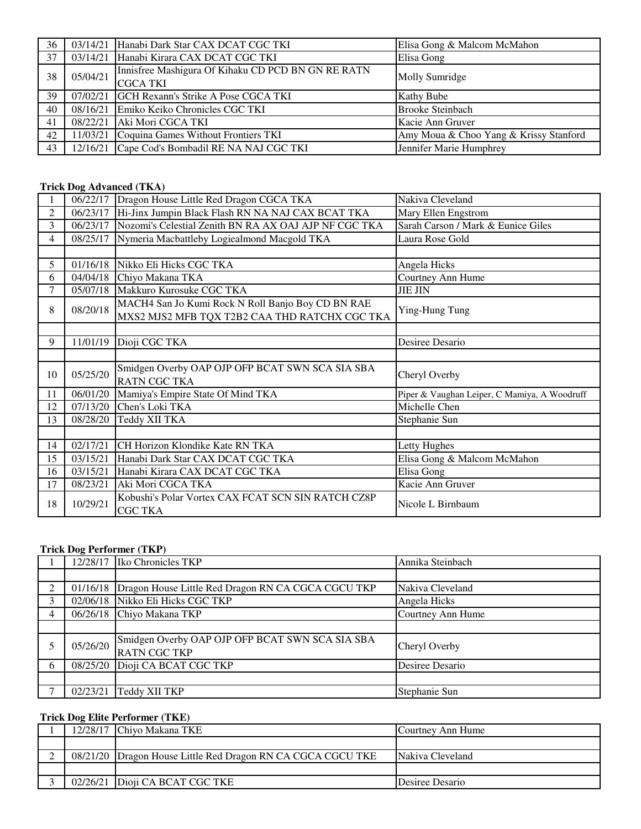| 36 |          | 03/14/21 Hanabi Dark Star CAX DCAT CGC TKI         | Elisa Gong & Malcom McMahon            |
|----|----------|----------------------------------------------------|----------------------------------------|
| 37 |          | 03/14/21 Hanabi Kirara CAX DCAT CGC TKI            | Elisa Gong                             |
| 38 | 05/04/21 | Innisfree Mashigura Of Kihaku CD PCD BN GN RE RATN |                                        |
|    |          | <b>CGCA TKI</b>                                    | <b>Molly Sumridge</b>                  |
| 39 |          | 07/02/21 GCH Rexann's Strike A Pose CGCA TKI       | <b>Kathy Bube</b>                      |
| 40 |          | 08/16/21 Emiko Keiko Chronicles CGC TKI            | <b>Brooke Steinbach</b>                |
| 41 |          | 08/22/21 Aki Mori CGCA TKI                         | Kacie Ann Gruver                       |
| 42 |          | 11/03/21 Coquina Games Without Frontiers TKI       | Amy Moua & Choo Yang & Krissy Stanford |
| 43 |          | 12/16/21 Cape Cod's Bombadil RE NA NAJ CGC TKI     | Jennifer Marie Humphrey                |

# **Trick Dog Advanced (TKA)**

|                |          | 06/22/17 Dragon House Little Red Dragon CGCA TKA                                                   | Nakiva Cleveland                             |
|----------------|----------|----------------------------------------------------------------------------------------------------|----------------------------------------------|
| 2              | 06/23/17 | Hi-Jinx Jumpin Black Flash RN NA NAJ CAX BCAT TKA                                                  | Mary Ellen Engstrom                          |
| 3              | 06/23/17 | Nozomi's Celestial Zenith BN RA AX OAJ AJP NF CGC TKA                                              | Sarah Carson / Mark & Eunice Giles           |
| $\overline{4}$ | 08/25/17 | Nymeria Macbattleby Logiealmond Macgold TKA                                                        | Laura Rose Gold                              |
|                |          |                                                                                                    |                                              |
| 5              | 01/16/18 | Nikko Eli Hicks CGC TKA                                                                            | Angela Hicks                                 |
| 6              |          | 04/04/18 Chiyo Makana TKA                                                                          | Courtney Ann Hume                            |
| 7              | 05/07/18 | Makkuro Kurosuke CGC TKA                                                                           | <b>JIE JIN</b>                               |
| 8              | 08/20/18 | MACH4 San Jo Kumi Rock N Roll Banjo Boy CD BN RAE<br>MXS2 MJS2 MFB TQX T2B2 CAA THD RATCHX CGC TKA | Ying-Hung Tung                               |
|                |          |                                                                                                    |                                              |
| 9              | 11/01/19 | Dioji CGC TKA                                                                                      | Desiree Desario                              |
|                |          |                                                                                                    |                                              |
|                |          | Smidgen Overby OAP OJP OFP BCAT SWN SCA SIA SBA                                                    |                                              |
| 10             | 05/25/20 | <b>RATN CGC TKA</b>                                                                                | Cheryl Overby                                |
| 11             | 06/01/20 | Mamiya's Empire State Of Mind TKA                                                                  | Piper & Vaughan Leiper, C Mamiya, A Woodruff |
| 12             | 07/13/20 | Chen's Loki TKA                                                                                    | Michelle Chen                                |
| 13             | 08/28/20 | Teddy XII TKA                                                                                      | Stephanie Sun                                |
|                |          |                                                                                                    |                                              |
| 14             | 02/17/21 | CH Horizon Klondike Kate RN TKA                                                                    | Letty Hughes                                 |
| 15             | 03/15/21 | Hanabi Dark Star CAX DCAT CGC TKA                                                                  | Elisa Gong & Malcom McMahon                  |
| 16             | 03/15/21 | Hanabi Kirara CAX DCAT CGC TKA                                                                     | Elisa Gong                                   |
| 17             | 08/23/21 | Aki Mori CGCA TKA                                                                                  | Kacie Ann Gruver                             |
| 18             | 10/29/21 | Kobushi's Polar Vortex CAX FCAT SCN SIN RATCH CZ8P<br><b>CGC TKA</b>                               | Nicole L Birnbaum                            |

### **Trick Dog Performer (TKP)**

|   | 12/28/17 | Iko Chronicles TKP                                                     | Annika Steinbach  |
|---|----------|------------------------------------------------------------------------|-------------------|
|   |          |                                                                        |                   |
| 2 | 01/16/18 | Dragon House Little Red Dragon RN CA CGCA CGCU TKP                     | Nakiva Cleveland  |
| 3 | 02/06/18 | Nikko Eli Hicks CGC TKP                                                | Angela Hicks      |
| 4 |          | 06/26/18 Chiyo Makana TKP                                              | Courtney Ann Hume |
|   |          |                                                                        |                   |
|   | 05/26/20 | Smidgen Overby OAP OJP OFP BCAT SWN SCA SIA SBA<br><b>RATN CGC TKP</b> | Cheryl Overby     |
| 6 | 08/25/20 | Dioji CA BCAT CGC TKP                                                  | Desiree Desario   |
|   |          |                                                                        |                   |
|   | 02/23/21 | Teddy XII TKP                                                          | Stephanie Sun     |

### **Trick Dog Elite Performer (TKE)**

|  | 12/28/17 Chiyo Makana TKE                                   | Courtney Ann Hume |
|--|-------------------------------------------------------------|-------------------|
|  |                                                             |                   |
|  | 08/21/20 Dragon House Little Red Dragon RN CA CGCA CGCU TKE | Nakiva Cleveland  |
|  |                                                             |                   |
|  | 02/26/21 Dioji CA BCAT CGC TKE                              | Desiree Desario   |